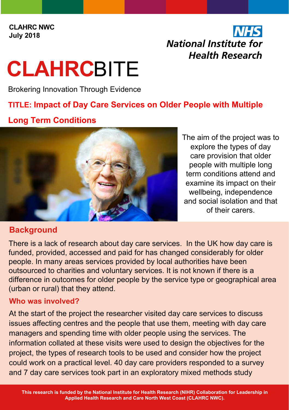**CLAHRC NWC July 2018**

## National Institute for **Health Research**

# **CLAHRC**BITE

Brokering Innovation Through Evidence

#### **TITLE: Impact of Day Care Services on Older People with Multiple**

#### **Long Term Conditions**



The aim of the project was to explore the types of day care provision that older people with multiple long term conditions attend and examine its impact on their wellbeing, independence and social isolation and that of their carers.

### **Background**

There is a lack of research about day care services. In the UK how day care is funded, provided, accessed and paid for has changed considerably for older people. In many areas services provided by local authorities have been outsourced to charities and voluntary services. It is not known if there is a difference in outcomes for older people by the service type or geographical area (urban or rural) that they attend.

#### **Who was involved?**

At the start of the project the researcher visited day care services to discuss issues affecting centres and the people that use them, meeting with day care managers and spending time with older people using the services. The information collated at these visits were used to design the objectives for the project, the types of research tools to be used and consider how the project could work on a practical level. 40 day care providers responded to a survey and 7 day care services took part in an exploratory mixed methods study